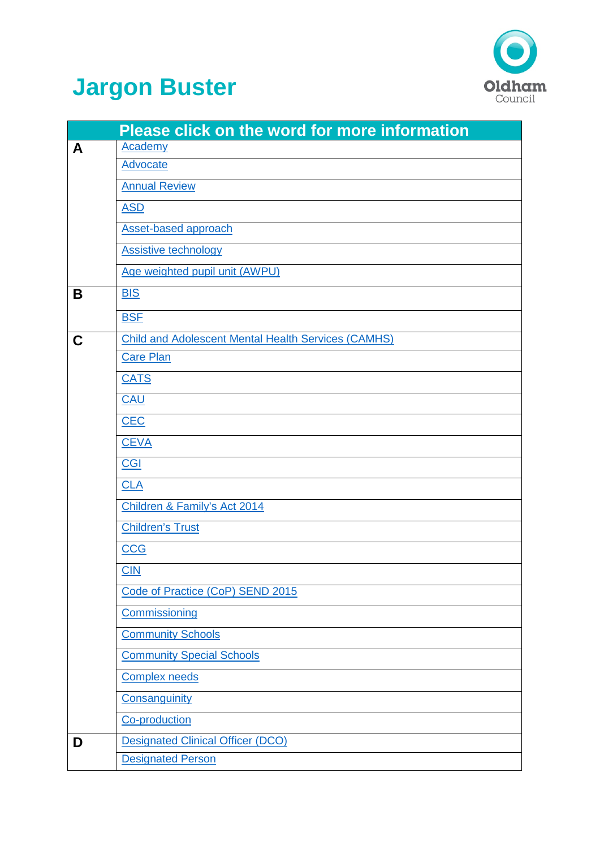

## **Jargon Buster**

|   | <b>Please click on the word for more information</b>       |
|---|------------------------------------------------------------|
| A | <b>Academy</b>                                             |
|   | <b>Advocate</b>                                            |
|   | <b>Annual Review</b>                                       |
|   | <b>ASD</b>                                                 |
|   | <b>Asset-based approach</b>                                |
|   | <b>Assistive technology</b>                                |
|   | Age weighted pupil unit (AWPU)                             |
| Β | <b>BIS</b>                                                 |
|   | <b>BSF</b>                                                 |
| C | <b>Child and Adolescent Mental Health Services (CAMHS)</b> |
|   | <b>Care Plan</b>                                           |
|   | <b>CATS</b>                                                |
|   | CAU                                                        |
|   | <b>CEC</b>                                                 |
|   | <b>CEVA</b>                                                |
|   | <b>CGI</b>                                                 |
|   | <b>CLA</b>                                                 |
|   | Children & Family's Act 2014                               |
|   | <b>Children's Trust</b>                                    |
|   | <b>CCG</b>                                                 |
|   | $CD$                                                       |
|   | Code of Practice (CoP) SEND 2015                           |
|   | Commissioning                                              |
|   | <b>Community Schools</b>                                   |
|   | <b>Community Special Schools</b>                           |
|   | <b>Complex needs</b>                                       |
|   | Consanguinity                                              |
|   | Co-production                                              |
| D | <b>Designated Clinical Officer (DCO)</b>                   |
|   | <b>Designated Person</b>                                   |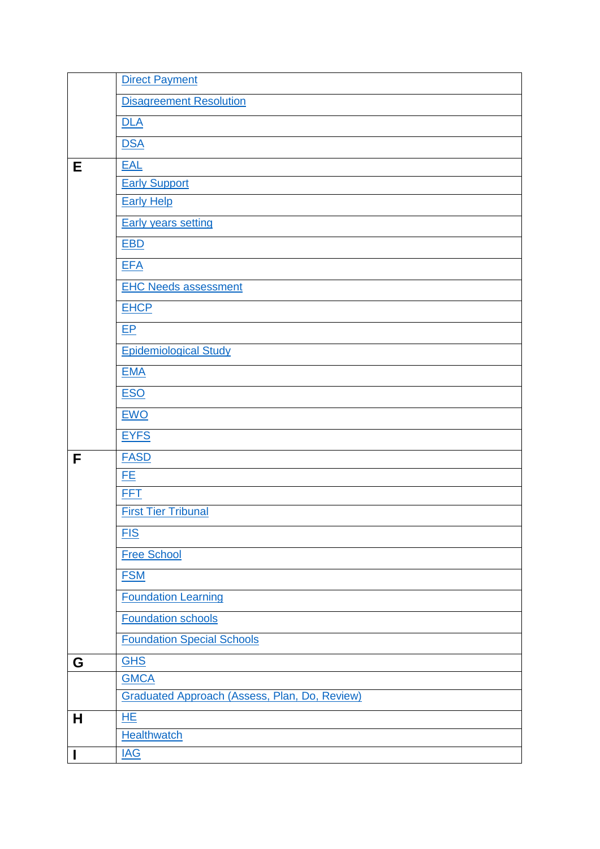|   | <b>Direct Payment</b>                                |  |  |
|---|------------------------------------------------------|--|--|
|   | <b>Disagreement Resolution</b>                       |  |  |
|   | DLA                                                  |  |  |
|   | <b>DSA</b>                                           |  |  |
| Е | <b>EAL</b>                                           |  |  |
|   | <b>Early Support</b>                                 |  |  |
|   | <b>Early Help</b>                                    |  |  |
|   | <b>Early years setting</b>                           |  |  |
|   | <b>EBD</b>                                           |  |  |
|   | <b>EFA</b>                                           |  |  |
|   | <b>EHC Needs assessment</b>                          |  |  |
|   | <b>EHCP</b>                                          |  |  |
|   | EP                                                   |  |  |
|   | <b>Epidemiological Study</b>                         |  |  |
|   | <b>EMA</b>                                           |  |  |
|   | <b>ESO</b>                                           |  |  |
|   |                                                      |  |  |
|   | <b>EWO</b>                                           |  |  |
|   | <b>EYFS</b>                                          |  |  |
| F | <b>FASD</b>                                          |  |  |
|   | <u>FE</u>                                            |  |  |
|   | <b>FFT</b><br><b>First Tier Tribunal</b>             |  |  |
|   |                                                      |  |  |
|   | <b>FIS</b>                                           |  |  |
|   |                                                      |  |  |
|   | <b>Free School</b>                                   |  |  |
|   | <b>FSM</b>                                           |  |  |
|   | <b>Foundation Learning</b>                           |  |  |
|   | <b>Foundation schools</b>                            |  |  |
|   | <b>Foundation Special Schools</b>                    |  |  |
| G | <b>GHS</b>                                           |  |  |
|   | <b>GMCA</b>                                          |  |  |
|   | <b>Graduated Approach (Assess, Plan, Do, Review)</b> |  |  |
| Н | <b>HE</b>                                            |  |  |
| I | <b>Healthwatch</b><br><b>IAG</b>                     |  |  |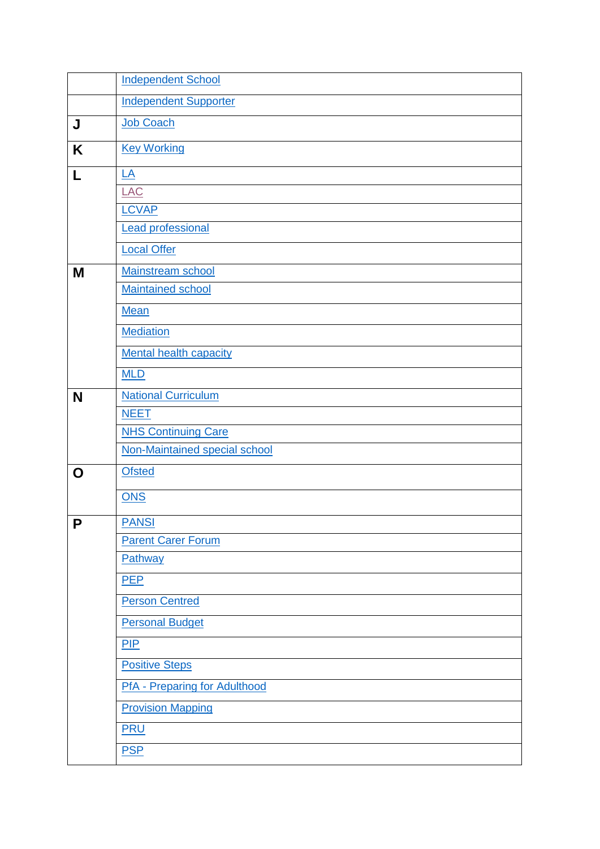|   | <b>Independent School</b>            |
|---|--------------------------------------|
|   | <b>Independent Supporter</b>         |
| J | <b>Job Coach</b>                     |
| K | <b>Key Working</b>                   |
| L | $\underline{\mathsf{LA}}$            |
|   | LAC                                  |
|   | <b>LCVAP</b>                         |
|   | <b>Lead professional</b>             |
|   | <b>Local Offer</b>                   |
| M | Mainstream school                    |
|   | <b>Maintained school</b>             |
|   | <b>Mean</b>                          |
|   | <b>Mediation</b>                     |
|   | Mental health capacity               |
|   | <b>MLD</b>                           |
| N | <b>National Curriculum</b>           |
|   | <b>NEET</b>                          |
|   | <b>NHS Continuing Care</b>           |
|   | Non-Maintained special school        |
| O | <b>Ofsted</b>                        |
|   | <b>ONS</b>                           |
| P | <b>PANSI</b>                         |
|   | <b>Parent Carer Forum</b>            |
|   | Pathway                              |
|   | <b>PEP</b>                           |
|   | <b>Person Centred</b>                |
|   | <b>Personal Budget</b>               |
|   | PIP                                  |
|   | <b>Positive Steps</b>                |
|   | <b>PfA</b> - Preparing for Adulthood |
|   | <b>Provision Mapping</b>             |
|   | <b>PRU</b>                           |
|   | <b>PSP</b>                           |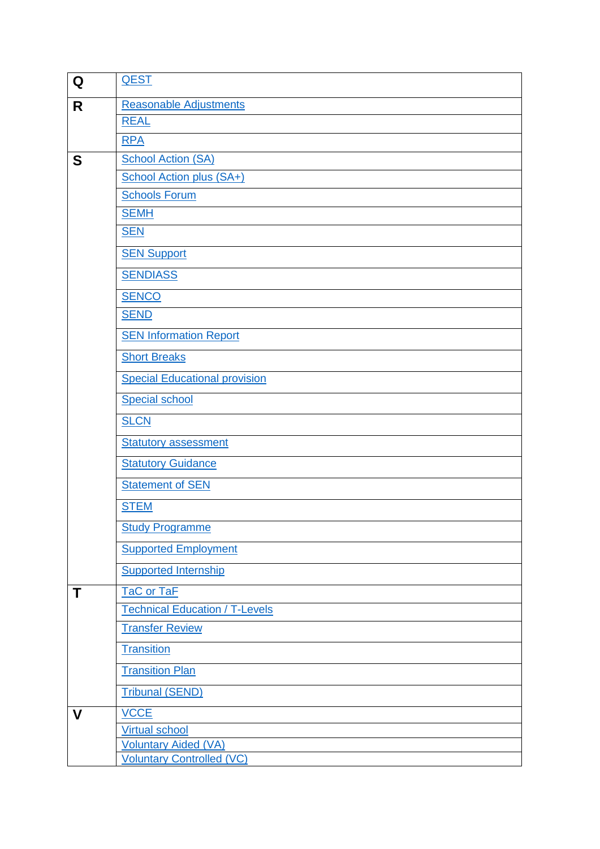| Q | <b>QEST</b>                           |  |
|---|---------------------------------------|--|
| R | <b>Reasonable Adjustments</b>         |  |
|   | <b>REAL</b>                           |  |
|   | <b>RPA</b>                            |  |
| S | <b>School Action (SA)</b>             |  |
|   | <b>School Action plus (SA+)</b>       |  |
|   | <b>Schools Forum</b>                  |  |
|   | <b>SEMH</b>                           |  |
|   | <b>SEN</b>                            |  |
|   | <b>SEN Support</b>                    |  |
|   | <b>SENDIASS</b>                       |  |
|   | <b>SENCO</b>                          |  |
|   | <b>SEND</b>                           |  |
|   | <b>SEN Information Report</b>         |  |
|   | <b>Short Breaks</b>                   |  |
|   | <b>Special Educational provision</b>  |  |
|   | <b>Special school</b>                 |  |
|   | <b>SLCN</b>                           |  |
|   | <b>Statutory assessment</b>           |  |
|   | <b>Statutory Guidance</b>             |  |
|   | <b>Statement of SEN</b>               |  |
|   | <b>STEM</b>                           |  |
|   | <b>Study Programme</b>                |  |
|   | <b>Supported Employment</b>           |  |
|   | <b>Supported Internship</b>           |  |
| Τ | TaC or TaF                            |  |
|   | <b>Technical Education / T-Levels</b> |  |
|   | <b>Transfer Review</b>                |  |
|   | <b>Transition</b>                     |  |
|   | <b>Transition Plan</b>                |  |
|   | <b>Tribunal (SEND)</b>                |  |
| V | <b>VCCE</b>                           |  |
|   | <b>Virtual school</b>                 |  |
|   | <b>Voluntary Aided (VA)</b>           |  |
|   | <b>Voluntary Controlled (VC)</b>      |  |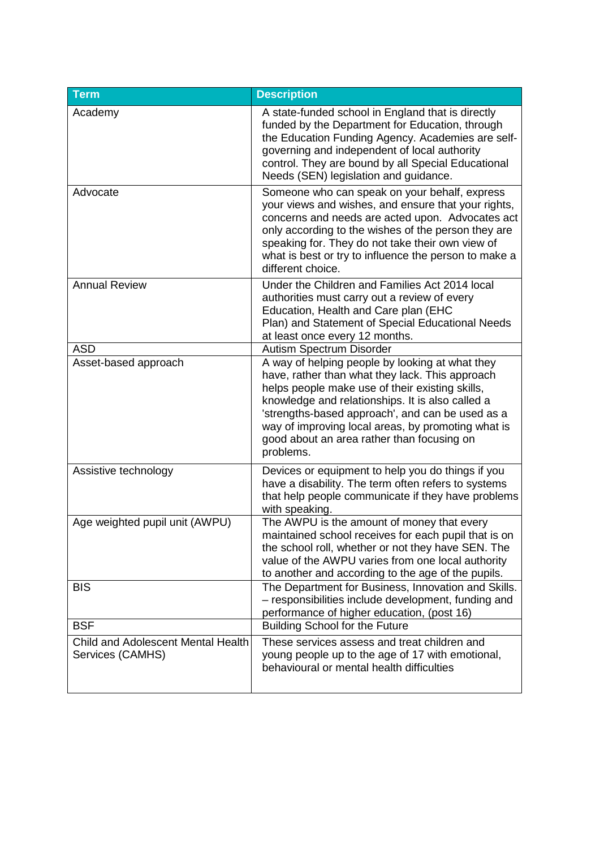<span id="page-4-9"></span><span id="page-4-8"></span><span id="page-4-7"></span><span id="page-4-6"></span><span id="page-4-5"></span><span id="page-4-4"></span><span id="page-4-3"></span><span id="page-4-2"></span><span id="page-4-1"></span><span id="page-4-0"></span>

| <b>Term</b>                                            | <b>Description</b>                                                                                                                                                                                                                                                                                                                                                             |
|--------------------------------------------------------|--------------------------------------------------------------------------------------------------------------------------------------------------------------------------------------------------------------------------------------------------------------------------------------------------------------------------------------------------------------------------------|
| Academy                                                | A state-funded school in England that is directly<br>funded by the Department for Education, through<br>the Education Funding Agency. Academies are self-<br>governing and independent of local authority<br>control. They are bound by all Special Educational<br>Needs (SEN) legislation and guidance.                                                                       |
| Advocate                                               | Someone who can speak on your behalf, express<br>your views and wishes, and ensure that your rights,<br>concerns and needs are acted upon. Advocates act<br>only according to the wishes of the person they are<br>speaking for. They do not take their own view of<br>what is best or try to influence the person to make a<br>different choice.                              |
| <b>Annual Review</b>                                   | Under the Children and Families Act 2014 local<br>authorities must carry out a review of every<br>Education, Health and Care plan (EHC<br>Plan) and Statement of Special Educational Needs<br>at least once every 12 months.                                                                                                                                                   |
| <b>ASD</b>                                             | Autism Spectrum Disorder                                                                                                                                                                                                                                                                                                                                                       |
| Asset-based approach                                   | A way of helping people by looking at what they<br>have, rather than what they lack. This approach<br>helps people make use of their existing skills,<br>knowledge and relationships. It is also called a<br>'strengths-based approach', and can be used as a<br>way of improving local areas, by promoting what is<br>good about an area rather than focusing on<br>problems. |
| Assistive technology                                   | Devices or equipment to help you do things if you<br>have a disability. The term often refers to systems<br>that help people communicate if they have problems<br>with speaking.                                                                                                                                                                                               |
| Age weighted pupil unit (AWPU)                         | The AWPU is the amount of money that every<br>maintained school receives for each pupil that is on<br>the school roll, whether or not they have SEN. The<br>value of the AWPU varies from one local authority<br>to another and according to the age of the pupils.                                                                                                            |
| <b>BIS</b>                                             | The Department for Business, Innovation and Skills.<br>- responsibilities include development, funding and<br>performance of higher education, (post 16)                                                                                                                                                                                                                       |
| <b>BSF</b>                                             | <b>Building School for the Future</b>                                                                                                                                                                                                                                                                                                                                          |
| Child and Adolescent Mental Health<br>Services (CAMHS) | These services assess and treat children and<br>young people up to the age of 17 with emotional,<br>behavioural or mental health difficulties                                                                                                                                                                                                                                  |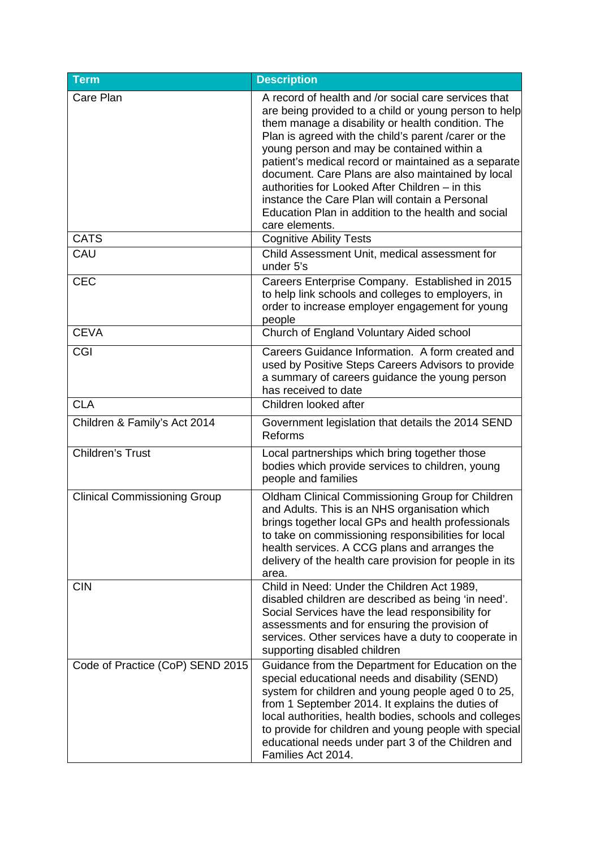<span id="page-5-11"></span><span id="page-5-10"></span><span id="page-5-9"></span><span id="page-5-8"></span><span id="page-5-7"></span><span id="page-5-6"></span><span id="page-5-5"></span><span id="page-5-4"></span><span id="page-5-3"></span><span id="page-5-2"></span><span id="page-5-1"></span><span id="page-5-0"></span>

| <b>Term</b>                         | <b>Description</b>                                                                                                                                                                                                                                                                                                                                                                                                                                                                                                                                                   |
|-------------------------------------|----------------------------------------------------------------------------------------------------------------------------------------------------------------------------------------------------------------------------------------------------------------------------------------------------------------------------------------------------------------------------------------------------------------------------------------------------------------------------------------------------------------------------------------------------------------------|
| Care Plan                           | A record of health and /or social care services that<br>are being provided to a child or young person to help<br>them manage a disability or health condition. The<br>Plan is agreed with the child's parent / carer or the<br>young person and may be contained within a<br>patient's medical record or maintained as a separate<br>document. Care Plans are also maintained by local<br>authorities for Looked After Children - in this<br>instance the Care Plan will contain a Personal<br>Education Plan in addition to the health and social<br>care elements. |
| <b>CATS</b>                         | <b>Cognitive Ability Tests</b>                                                                                                                                                                                                                                                                                                                                                                                                                                                                                                                                       |
| CAU                                 | Child Assessment Unit, medical assessment for<br>under 5's                                                                                                                                                                                                                                                                                                                                                                                                                                                                                                           |
| <b>CEC</b>                          | Careers Enterprise Company. Established in 2015<br>to help link schools and colleges to employers, in<br>order to increase employer engagement for young<br>people                                                                                                                                                                                                                                                                                                                                                                                                   |
| <b>CEVA</b>                         | Church of England Voluntary Aided school                                                                                                                                                                                                                                                                                                                                                                                                                                                                                                                             |
| CGI                                 | Careers Guidance Information. A form created and<br>used by Positive Steps Careers Advisors to provide<br>a summary of careers guidance the young person<br>has received to date                                                                                                                                                                                                                                                                                                                                                                                     |
| <b>CLA</b>                          | Children looked after                                                                                                                                                                                                                                                                                                                                                                                                                                                                                                                                                |
| Children & Family's Act 2014        | Government legislation that details the 2014 SEND<br>Reforms                                                                                                                                                                                                                                                                                                                                                                                                                                                                                                         |
| <b>Children's Trust</b>             | Local partnerships which bring together those<br>bodies which provide services to children, young<br>people and families                                                                                                                                                                                                                                                                                                                                                                                                                                             |
| <b>Clinical Commissioning Group</b> | Oldham Clinical Commissioning Group for Children<br>and Adults. This is an NHS organisation which<br>brings together local GPs and health professionals<br>to take on commissioning responsibilities for local<br>health services. A CCG plans and arranges the<br>delivery of the health care provision for people in its<br>area.                                                                                                                                                                                                                                  |
| <b>CIN</b>                          | Child in Need: Under the Children Act 1989,<br>disabled children are described as being 'in need'.<br>Social Services have the lead responsibility for<br>assessments and for ensuring the provision of<br>services. Other services have a duty to cooperate in<br>supporting disabled children                                                                                                                                                                                                                                                                      |
| Code of Practice (CoP) SEND 2015    | Guidance from the Department for Education on the<br>special educational needs and disability (SEND)<br>system for children and young people aged 0 to 25,<br>from 1 September 2014. It explains the duties of<br>local authorities, health bodies, schools and colleges<br>to provide for children and young people with special<br>educational needs under part 3 of the Children and<br>Families Act 2014.                                                                                                                                                        |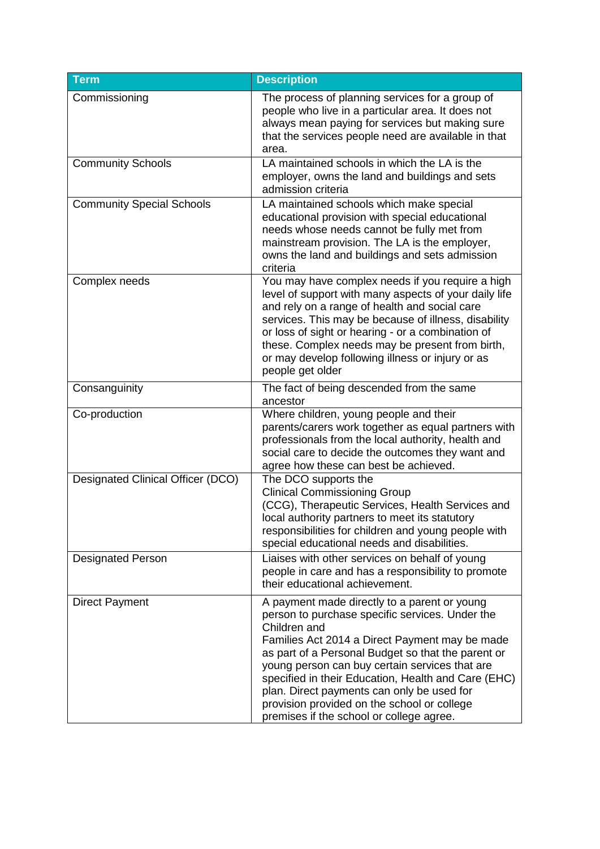<span id="page-6-7"></span><span id="page-6-6"></span><span id="page-6-5"></span><span id="page-6-4"></span><span id="page-6-3"></span><span id="page-6-2"></span><span id="page-6-1"></span><span id="page-6-0"></span>

| <b>Term</b>                       | <b>Description</b>                                                                                                                                                                                                                                                                                                                                                                                                                                                        |
|-----------------------------------|---------------------------------------------------------------------------------------------------------------------------------------------------------------------------------------------------------------------------------------------------------------------------------------------------------------------------------------------------------------------------------------------------------------------------------------------------------------------------|
| Commissioning                     | The process of planning services for a group of<br>people who live in a particular area. It does not<br>always mean paying for services but making sure<br>that the services people need are available in that<br>area.                                                                                                                                                                                                                                                   |
| <b>Community Schools</b>          | LA maintained schools in which the LA is the<br>employer, owns the land and buildings and sets<br>admission criteria                                                                                                                                                                                                                                                                                                                                                      |
| <b>Community Special Schools</b>  | LA maintained schools which make special<br>educational provision with special educational<br>needs whose needs cannot be fully met from<br>mainstream provision. The LA is the employer,<br>owns the land and buildings and sets admission<br>criteria                                                                                                                                                                                                                   |
| Complex needs                     | You may have complex needs if you require a high<br>level of support with many aspects of your daily life<br>and rely on a range of health and social care<br>services. This may be because of illness, disability<br>or loss of sight or hearing - or a combination of<br>these. Complex needs may be present from birth,<br>or may develop following illness or injury or as<br>people get older                                                                        |
| Consanguinity                     | The fact of being descended from the same<br>ancestor                                                                                                                                                                                                                                                                                                                                                                                                                     |
| Co-production                     | Where children, young people and their<br>parents/carers work together as equal partners with<br>professionals from the local authority, health and<br>social care to decide the outcomes they want and<br>agree how these can best be achieved.                                                                                                                                                                                                                          |
| Designated Clinical Officer (DCO) | The DCO supports the<br><b>Clinical Commissioning Group</b><br>(CCG), Therapeutic Services, Health Services and<br>local authority partners to meet its statutory<br>responsibilities for children and young people with<br>special educational needs and disabilities.                                                                                                                                                                                                   |
| <b>Designated Person</b>          | Liaises with other services on behalf of young<br>people in care and has a responsibility to promote<br>their educational achievement.                                                                                                                                                                                                                                                                                                                                    |
| <b>Direct Payment</b>             | A payment made directly to a parent or young<br>person to purchase specific services. Under the<br>Children and<br>Families Act 2014 a Direct Payment may be made<br>as part of a Personal Budget so that the parent or<br>young person can buy certain services that are<br>specified in their Education, Health and Care (EHC)<br>plan. Direct payments can only be used for<br>provision provided on the school or college<br>premises if the school or college agree. |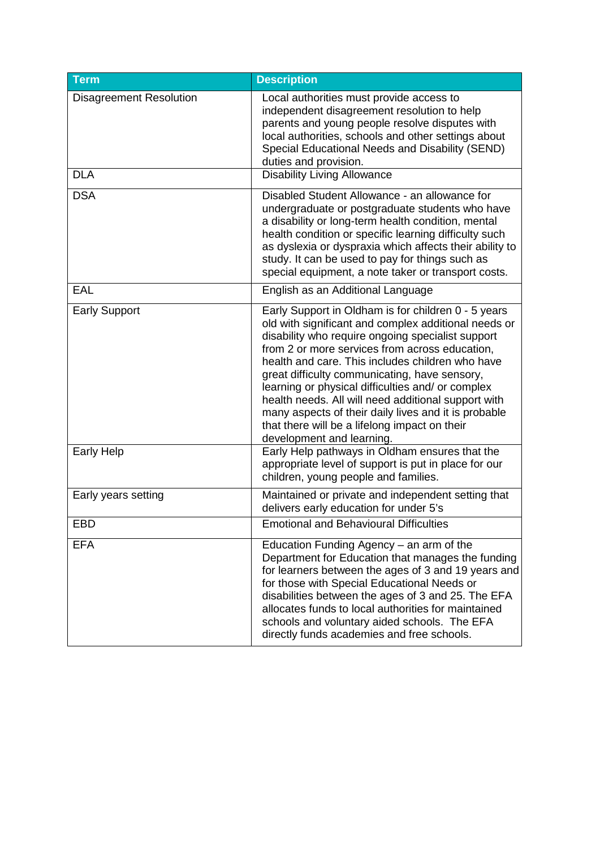<span id="page-7-8"></span><span id="page-7-7"></span><span id="page-7-6"></span><span id="page-7-5"></span><span id="page-7-4"></span><span id="page-7-3"></span><span id="page-7-2"></span><span id="page-7-1"></span><span id="page-7-0"></span>

| <b>Term</b>                    | <b>Description</b>                                                                                                                                                                                                                                                                                                                                                                                                                                                                                                                                                        |
|--------------------------------|---------------------------------------------------------------------------------------------------------------------------------------------------------------------------------------------------------------------------------------------------------------------------------------------------------------------------------------------------------------------------------------------------------------------------------------------------------------------------------------------------------------------------------------------------------------------------|
| <b>Disagreement Resolution</b> | Local authorities must provide access to<br>independent disagreement resolution to help<br>parents and young people resolve disputes with<br>local authorities, schools and other settings about<br>Special Educational Needs and Disability (SEND)<br>duties and provision.                                                                                                                                                                                                                                                                                              |
| <b>DLA</b>                     | <b>Disability Living Allowance</b>                                                                                                                                                                                                                                                                                                                                                                                                                                                                                                                                        |
| <b>DSA</b>                     | Disabled Student Allowance - an allowance for<br>undergraduate or postgraduate students who have<br>a disability or long-term health condition, mental<br>health condition or specific learning difficulty such<br>as dyslexia or dyspraxia which affects their ability to<br>study. It can be used to pay for things such as<br>special equipment, a note taker or transport costs.                                                                                                                                                                                      |
| EAL                            | English as an Additional Language                                                                                                                                                                                                                                                                                                                                                                                                                                                                                                                                         |
| <b>Early Support</b>           | Early Support in Oldham is for children 0 - 5 years<br>old with significant and complex additional needs or<br>disability who require ongoing specialist support<br>from 2 or more services from across education,<br>health and care. This includes children who have<br>great difficulty communicating, have sensory,<br>learning or physical difficulties and/ or complex<br>health needs. All will need additional support with<br>many aspects of their daily lives and it is probable<br>that there will be a lifelong impact on their<br>development and learning. |
| <b>Early Help</b>              | Early Help pathways in Oldham ensures that the<br>appropriate level of support is put in place for our<br>children, young people and families.                                                                                                                                                                                                                                                                                                                                                                                                                            |
| Early years setting            | Maintained or private and independent setting that<br>delivers early education for under 5's                                                                                                                                                                                                                                                                                                                                                                                                                                                                              |
| <b>EBD</b>                     | <b>Emotional and Behavioural Difficulties</b>                                                                                                                                                                                                                                                                                                                                                                                                                                                                                                                             |
| <b>EFA</b>                     | Education Funding Agency - an arm of the<br>Department for Education that manages the funding<br>for learners between the ages of 3 and 19 years and<br>for those with Special Educational Needs or<br>disabilities between the ages of 3 and 25. The EFA<br>allocates funds to local authorities for maintained<br>schools and voluntary aided schools. The EFA<br>directly funds academies and free schools.                                                                                                                                                            |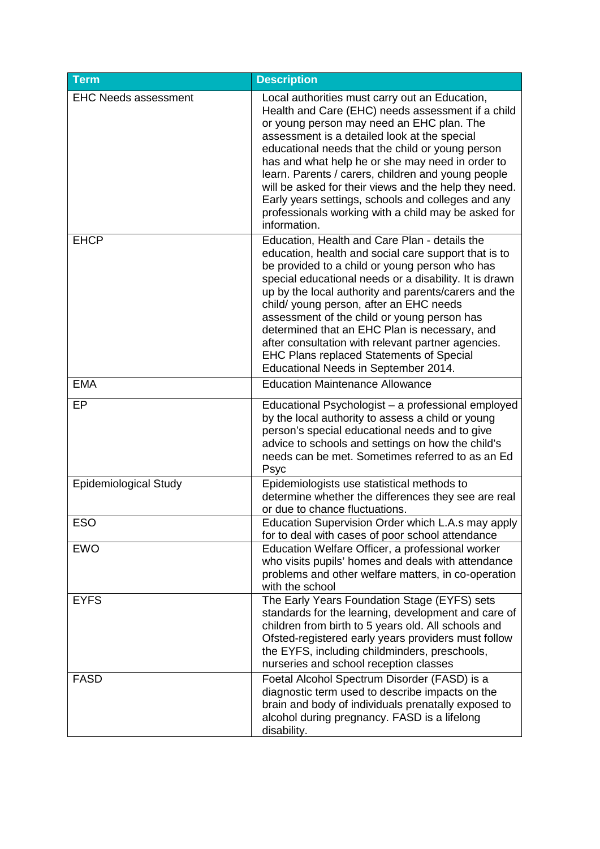<span id="page-8-8"></span><span id="page-8-7"></span><span id="page-8-6"></span><span id="page-8-5"></span><span id="page-8-4"></span><span id="page-8-3"></span><span id="page-8-2"></span><span id="page-8-1"></span><span id="page-8-0"></span>

| Term                         | <b>Description</b>                                                                                                                                                                                                                                                                                                                                                                                                                                                                                                                                                    |
|------------------------------|-----------------------------------------------------------------------------------------------------------------------------------------------------------------------------------------------------------------------------------------------------------------------------------------------------------------------------------------------------------------------------------------------------------------------------------------------------------------------------------------------------------------------------------------------------------------------|
| <b>EHC Needs assessment</b>  | Local authorities must carry out an Education,<br>Health and Care (EHC) needs assessment if a child<br>or young person may need an EHC plan. The<br>assessment is a detailed look at the special<br>educational needs that the child or young person<br>has and what help he or she may need in order to<br>learn. Parents / carers, children and young people<br>will be asked for their views and the help they need.<br>Early years settings, schools and colleges and any<br>professionals working with a child may be asked for<br>information.                  |
| <b>EHCP</b>                  | Education, Health and Care Plan - details the<br>education, health and social care support that is to<br>be provided to a child or young person who has<br>special educational needs or a disability. It is drawn<br>up by the local authority and parents/carers and the<br>child/ young person, after an EHC needs<br>assessment of the child or young person has<br>determined that an EHC Plan is necessary, and<br>after consultation with relevant partner agencies.<br><b>EHC Plans replaced Statements of Special</b><br>Educational Needs in September 2014. |
| <b>EMA</b>                   | <b>Education Maintenance Allowance</b>                                                                                                                                                                                                                                                                                                                                                                                                                                                                                                                                |
| EP                           | Educational Psychologist - a professional employed<br>by the local authority to assess a child or young<br>person's special educational needs and to give<br>advice to schools and settings on how the child's<br>needs can be met. Sometimes referred to as an Ed<br>Psyc                                                                                                                                                                                                                                                                                            |
| <b>Epidemiological Study</b> | Epidemiologists use statistical methods to<br>determine whether the differences they see are real<br>or due to chance fluctuations.                                                                                                                                                                                                                                                                                                                                                                                                                                   |
| <b>ESO</b>                   | Education Supervision Order which L.A.s may apply<br>for to deal with cases of poor school attendance                                                                                                                                                                                                                                                                                                                                                                                                                                                                 |
| <b>EWO</b>                   | Education Welfare Officer, a professional worker<br>who visits pupils' homes and deals with attendance<br>problems and other welfare matters, in co-operation<br>with the school                                                                                                                                                                                                                                                                                                                                                                                      |
| <b>EYFS</b>                  | The Early Years Foundation Stage (EYFS) sets<br>standards for the learning, development and care of<br>children from birth to 5 years old. All schools and<br>Ofsted-registered early years providers must follow<br>the EYFS, including childminders, preschools,<br>nurseries and school reception classes                                                                                                                                                                                                                                                          |
| <b>FASD</b>                  | Foetal Alcohol Spectrum Disorder (FASD) is a<br>diagnostic term used to describe impacts on the<br>brain and body of individuals prenatally exposed to<br>alcohol during pregnancy. FASD is a lifelong<br>disability.                                                                                                                                                                                                                                                                                                                                                 |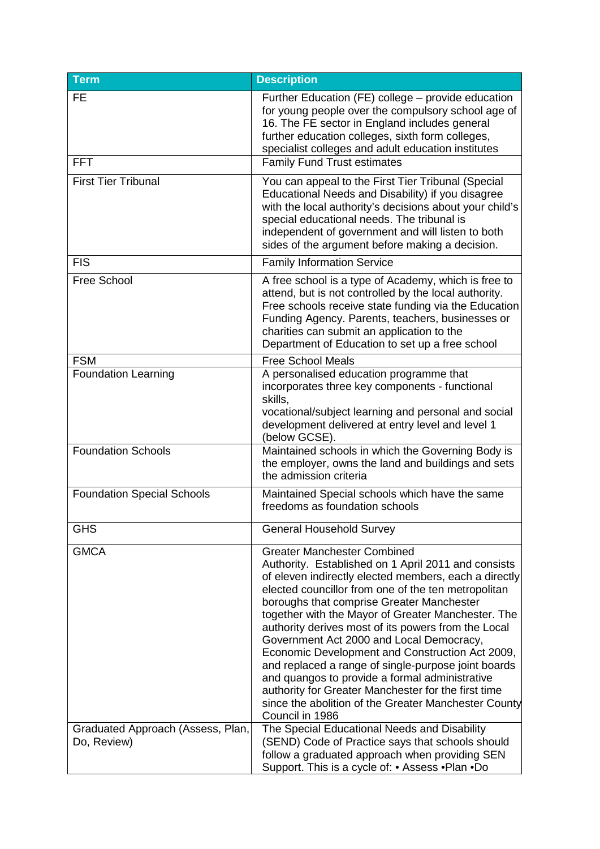<span id="page-9-8"></span><span id="page-9-7"></span><span id="page-9-6"></span><span id="page-9-5"></span><span id="page-9-4"></span><span id="page-9-3"></span><span id="page-9-2"></span><span id="page-9-1"></span><span id="page-9-0"></span>

| <b>Term</b>                                      | <b>Description</b>                                                                                                                                                                                                                                                                                                                                                                                                                                                                                                                                                                                                                                                                                            |
|--------------------------------------------------|---------------------------------------------------------------------------------------------------------------------------------------------------------------------------------------------------------------------------------------------------------------------------------------------------------------------------------------------------------------------------------------------------------------------------------------------------------------------------------------------------------------------------------------------------------------------------------------------------------------------------------------------------------------------------------------------------------------|
| <b>FE</b><br><b>FFT</b>                          | Further Education (FE) college – provide education<br>for young people over the compulsory school age of<br>16. The FE sector in England includes general<br>further education colleges, sixth form colleges,<br>specialist colleges and adult education institutes<br><b>Family Fund Trust estimates</b>                                                                                                                                                                                                                                                                                                                                                                                                     |
| <b>First Tier Tribunal</b>                       | You can appeal to the First Tier Tribunal (Special<br>Educational Needs and Disability) if you disagree<br>with the local authority's decisions about your child's<br>special educational needs. The tribunal is<br>independent of government and will listen to both<br>sides of the argument before making a decision.                                                                                                                                                                                                                                                                                                                                                                                      |
| <b>FIS</b>                                       | <b>Family Information Service</b>                                                                                                                                                                                                                                                                                                                                                                                                                                                                                                                                                                                                                                                                             |
| Free School                                      | A free school is a type of Academy, which is free to<br>attend, but is not controlled by the local authority.<br>Free schools receive state funding via the Education<br>Funding Agency. Parents, teachers, businesses or<br>charities can submit an application to the<br>Department of Education to set up a free school                                                                                                                                                                                                                                                                                                                                                                                    |
| <b>FSM</b>                                       | <b>Free School Meals</b>                                                                                                                                                                                                                                                                                                                                                                                                                                                                                                                                                                                                                                                                                      |
| <b>Foundation Learning</b>                       | A personalised education programme that<br>incorporates three key components - functional<br>skills,<br>vocational/subject learning and personal and social<br>development delivered at entry level and level 1<br>(below GCSE).                                                                                                                                                                                                                                                                                                                                                                                                                                                                              |
| <b>Foundation Schools</b>                        | Maintained schools in which the Governing Body is<br>the employer, owns the land and buildings and sets<br>the admission criteria                                                                                                                                                                                                                                                                                                                                                                                                                                                                                                                                                                             |
| <b>Foundation Special Schools</b>                | Maintained Special schools which have the same<br>freedoms as foundation schools                                                                                                                                                                                                                                                                                                                                                                                                                                                                                                                                                                                                                              |
| <b>GHS</b>                                       | <b>General Household Survey</b>                                                                                                                                                                                                                                                                                                                                                                                                                                                                                                                                                                                                                                                                               |
| <b>GMCA</b>                                      | <b>Greater Manchester Combined</b><br>Authority. Established on 1 April 2011 and consists<br>of eleven indirectly elected members, each a directly<br>elected councillor from one of the ten metropolitan<br>boroughs that comprise Greater Manchester<br>together with the Mayor of Greater Manchester. The<br>authority derives most of its powers from the Local<br>Government Act 2000 and Local Democracy,<br>Economic Development and Construction Act 2009,<br>and replaced a range of single-purpose joint boards<br>and quangos to provide a formal administrative<br>authority for Greater Manchester for the first time<br>since the abolition of the Greater Manchester County<br>Council in 1986 |
| Graduated Approach (Assess, Plan,<br>Do, Review) | The Special Educational Needs and Disability<br>(SEND) Code of Practice says that schools should<br>follow a graduated approach when providing SEN<br>Support. This is a cycle of: • Assess • Plan • Do                                                                                                                                                                                                                                                                                                                                                                                                                                                                                                       |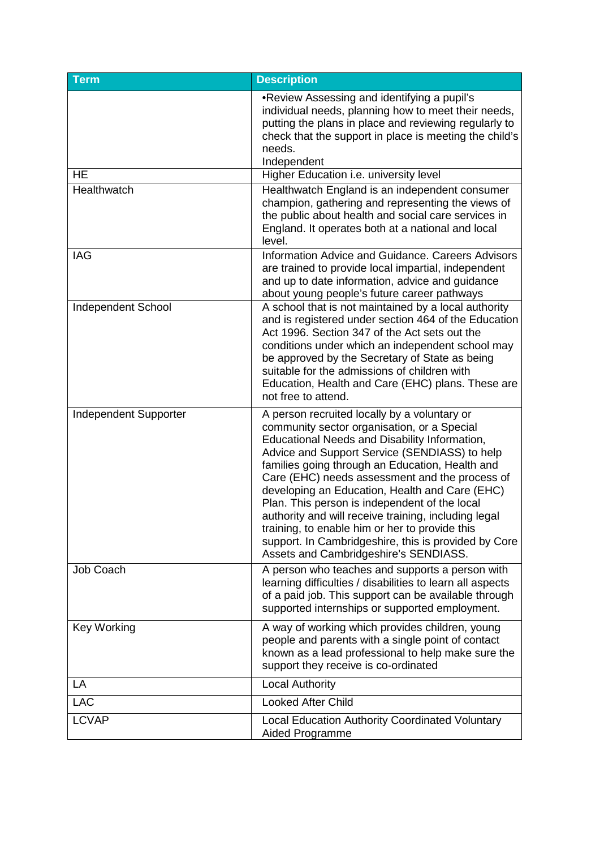<span id="page-10-3"></span><span id="page-10-2"></span><span id="page-10-1"></span><span id="page-10-0"></span>

| <b>Term</b>               | <b>Description</b>                                                                                                                                                                                                                                                                                                                                                                                                                                                                                                                                                                                               |
|---------------------------|------------------------------------------------------------------------------------------------------------------------------------------------------------------------------------------------------------------------------------------------------------------------------------------------------------------------------------------------------------------------------------------------------------------------------------------------------------------------------------------------------------------------------------------------------------------------------------------------------------------|
|                           | .Review Assessing and identifying a pupil's<br>individual needs, planning how to meet their needs,<br>putting the plans in place and reviewing regularly to<br>check that the support in place is meeting the child's<br>needs.<br>Independent                                                                                                                                                                                                                                                                                                                                                                   |
| <b>HE</b>                 | Higher Education i.e. university level                                                                                                                                                                                                                                                                                                                                                                                                                                                                                                                                                                           |
| Healthwatch               | Healthwatch England is an independent consumer<br>champion, gathering and representing the views of<br>the public about health and social care services in<br>England. It operates both at a national and local<br>level.                                                                                                                                                                                                                                                                                                                                                                                        |
| <b>IAG</b>                | Information Advice and Guidance. Careers Advisors<br>are trained to provide local impartial, independent<br>and up to date information, advice and guidance<br>about young people's future career pathways                                                                                                                                                                                                                                                                                                                                                                                                       |
| <b>Independent School</b> | A school that is not maintained by a local authority<br>and is registered under section 464 of the Education<br>Act 1996. Section 347 of the Act sets out the<br>conditions under which an independent school may<br>be approved by the Secretary of State as being<br>suitable for the admissions of children with<br>Education, Health and Care (EHC) plans. These are<br>not free to attend.                                                                                                                                                                                                                  |
| Independent Supporter     | A person recruited locally by a voluntary or<br>community sector organisation, or a Special<br>Educational Needs and Disability Information,<br>Advice and Support Service (SENDIASS) to help<br>families going through an Education, Health and<br>Care (EHC) needs assessment and the process of<br>developing an Education, Health and Care (EHC)<br>Plan. This person is independent of the local<br>authority and will receive training, including legal<br>training, to enable him or her to provide this<br>support. In Cambridgeshire, this is provided by Core<br>Assets and Cambridgeshire's SENDIASS. |
| Job Coach                 | A person who teaches and supports a person with<br>learning difficulties / disabilities to learn all aspects<br>of a paid job. This support can be available through<br>supported internships or supported employment.                                                                                                                                                                                                                                                                                                                                                                                           |
| <b>Key Working</b>        | A way of working which provides children, young<br>people and parents with a single point of contact<br>known as a lead professional to help make sure the<br>support they receive is co-ordinated                                                                                                                                                                                                                                                                                                                                                                                                               |
| LA                        | <b>Local Authority</b>                                                                                                                                                                                                                                                                                                                                                                                                                                                                                                                                                                                           |
| <b>LAC</b>                | <b>Looked After Child</b>                                                                                                                                                                                                                                                                                                                                                                                                                                                                                                                                                                                        |
| <b>LCVAP</b>              | <b>Local Education Authority Coordinated Voluntary</b><br>Aided Programme                                                                                                                                                                                                                                                                                                                                                                                                                                                                                                                                        |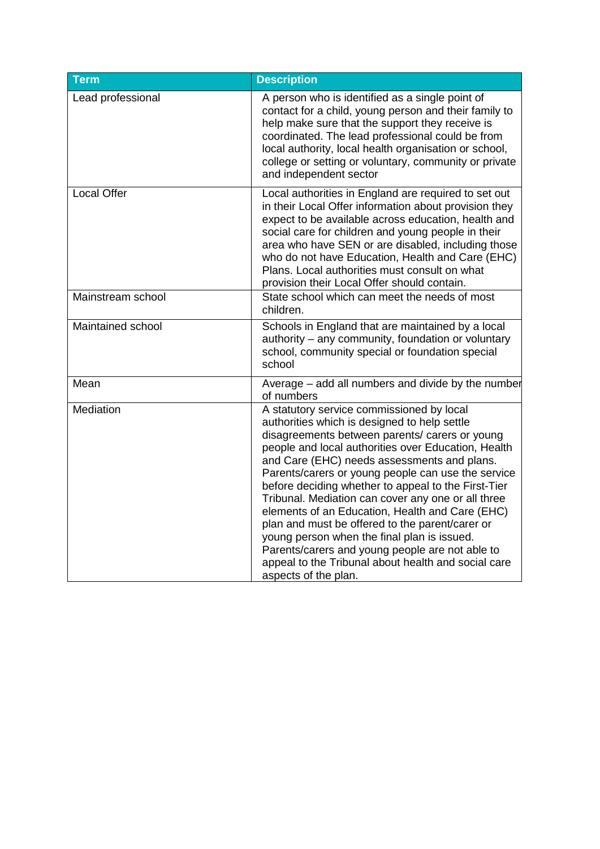<span id="page-11-4"></span><span id="page-11-3"></span><span id="page-11-2"></span><span id="page-11-1"></span><span id="page-11-0"></span>

| <b>Term</b>        | <b>Description</b>                                                                                                                                                                                                                                                                                                                                                                                                                                                                                                                                                                                                                                                                                          |
|--------------------|-------------------------------------------------------------------------------------------------------------------------------------------------------------------------------------------------------------------------------------------------------------------------------------------------------------------------------------------------------------------------------------------------------------------------------------------------------------------------------------------------------------------------------------------------------------------------------------------------------------------------------------------------------------------------------------------------------------|
| Lead professional  | A person who is identified as a single point of<br>contact for a child, young person and their family to<br>help make sure that the support they receive is<br>coordinated. The lead professional could be from<br>local authority, local health organisation or school,<br>college or setting or voluntary, community or private<br>and independent sector                                                                                                                                                                                                                                                                                                                                                 |
| <b>Local Offer</b> | Local authorities in England are required to set out<br>in their Local Offer information about provision they<br>expect to be available across education, health and<br>social care for children and young people in their<br>area who have SEN or are disabled, including those<br>who do not have Education, Health and Care (EHC)<br>Plans. Local authorities must consult on what<br>provision their Local Offer should contain.                                                                                                                                                                                                                                                                        |
| Mainstream school  | State school which can meet the needs of most<br>children.                                                                                                                                                                                                                                                                                                                                                                                                                                                                                                                                                                                                                                                  |
| Maintained school  | Schools in England that are maintained by a local<br>authority – any community, foundation or voluntary<br>school, community special or foundation special<br>school                                                                                                                                                                                                                                                                                                                                                                                                                                                                                                                                        |
| Mean               | Average - add all numbers and divide by the number<br>of numbers                                                                                                                                                                                                                                                                                                                                                                                                                                                                                                                                                                                                                                            |
| Mediation          | A statutory service commissioned by local<br>authorities which is designed to help settle<br>disagreements between parents/ carers or young<br>people and local authorities over Education, Health<br>and Care (EHC) needs assessments and plans.<br>Parents/carers or young people can use the service<br>before deciding whether to appeal to the First-Tier<br>Tribunal. Mediation can cover any one or all three<br>elements of an Education, Health and Care (EHC)<br>plan and must be offered to the parent/carer or<br>young person when the final plan is issued.<br>Parents/carers and young people are not able to<br>appeal to the Tribunal about health and social care<br>aspects of the plan. |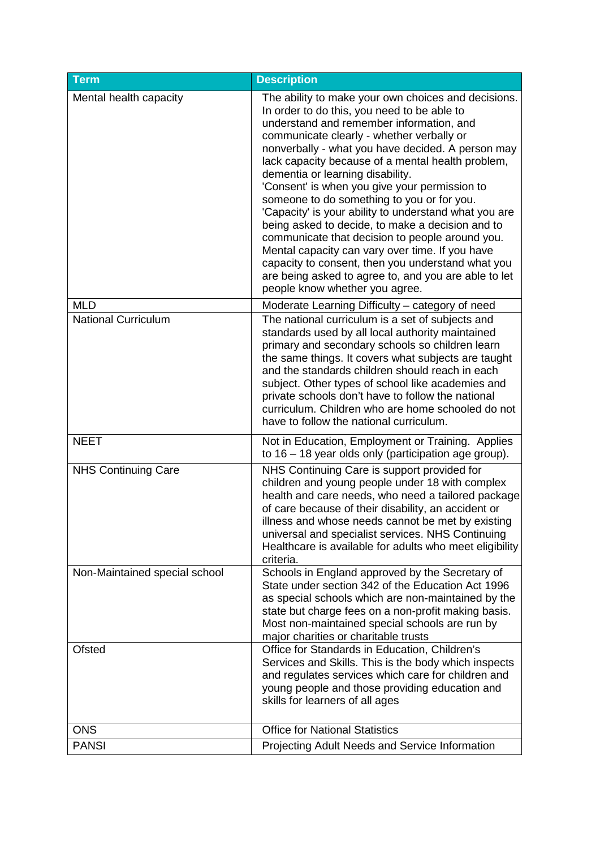<span id="page-12-3"></span><span id="page-12-2"></span><span id="page-12-1"></span><span id="page-12-0"></span>

| <b>Term</b>                   | <b>Description</b>                                                                                                                                                                                                                                                                                                                                                                                                                                                                                                                                                                                                                                                                                                                                                                                         |
|-------------------------------|------------------------------------------------------------------------------------------------------------------------------------------------------------------------------------------------------------------------------------------------------------------------------------------------------------------------------------------------------------------------------------------------------------------------------------------------------------------------------------------------------------------------------------------------------------------------------------------------------------------------------------------------------------------------------------------------------------------------------------------------------------------------------------------------------------|
| Mental health capacity        | The ability to make your own choices and decisions.<br>In order to do this, you need to be able to<br>understand and remember information, and<br>communicate clearly - whether verbally or<br>nonverbally - what you have decided. A person may<br>lack capacity because of a mental health problem,<br>dementia or learning disability.<br>'Consent' is when you give your permission to<br>someone to do something to you or for you.<br>'Capacity' is your ability to understand what you are<br>being asked to decide, to make a decision and to<br>communicate that decision to people around you.<br>Mental capacity can vary over time. If you have<br>capacity to consent, then you understand what you<br>are being asked to agree to, and you are able to let<br>people know whether you agree. |
| <b>MLD</b>                    | Moderate Learning Difficulty - category of need                                                                                                                                                                                                                                                                                                                                                                                                                                                                                                                                                                                                                                                                                                                                                            |
| <b>National Curriculum</b>    | The national curriculum is a set of subjects and<br>standards used by all local authority maintained<br>primary and secondary schools so children learn<br>the same things. It covers what subjects are taught<br>and the standards children should reach in each<br>subject. Other types of school like academies and<br>private schools don't have to follow the national<br>curriculum. Children who are home schooled do not<br>have to follow the national curriculum.                                                                                                                                                                                                                                                                                                                                |
| <b>NEET</b>                   | Not in Education, Employment or Training. Applies<br>to $16 - 18$ year olds only (participation age group).                                                                                                                                                                                                                                                                                                                                                                                                                                                                                                                                                                                                                                                                                                |
| <b>NHS Continuing Care</b>    | NHS Continuing Care is support provided for<br>children and young people under 18 with complex<br>health and care needs, who need a tailored package<br>of care because of their disability, an accident or<br>illness and whose needs cannot be met by existing<br>universal and specialist services. NHS Continuing<br>Healthcare is available for adults who meet eligibility<br>criteria.                                                                                                                                                                                                                                                                                                                                                                                                              |
| Non-Maintained special school | Schools in England approved by the Secretary of<br>State under section 342 of the Education Act 1996<br>as special schools which are non-maintained by the<br>state but charge fees on a non-profit making basis.<br>Most non-maintained special schools are run by<br>major charities or charitable trusts                                                                                                                                                                                                                                                                                                                                                                                                                                                                                                |
| Ofsted                        | Office for Standards in Education, Children's<br>Services and Skills. This is the body which inspects<br>and regulates services which care for children and<br>young people and those providing education and<br>skills for learners of all ages                                                                                                                                                                                                                                                                                                                                                                                                                                                                                                                                                           |
| <b>ONS</b>                    | <b>Office for National Statistics</b>                                                                                                                                                                                                                                                                                                                                                                                                                                                                                                                                                                                                                                                                                                                                                                      |
| <b>PANSI</b>                  | Projecting Adult Needs and Service Information                                                                                                                                                                                                                                                                                                                                                                                                                                                                                                                                                                                                                                                                                                                                                             |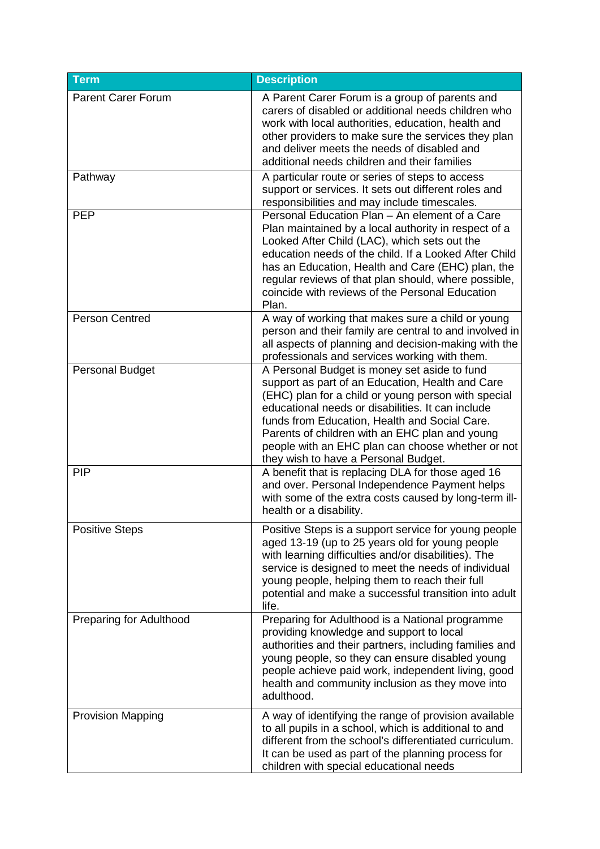<span id="page-13-6"></span><span id="page-13-5"></span><span id="page-13-4"></span><span id="page-13-3"></span><span id="page-13-2"></span><span id="page-13-1"></span><span id="page-13-0"></span>

| <b>Term</b>               | <b>Description</b>                                                                                                                                                                                                                                                                                                                                                                                           |
|---------------------------|--------------------------------------------------------------------------------------------------------------------------------------------------------------------------------------------------------------------------------------------------------------------------------------------------------------------------------------------------------------------------------------------------------------|
| <b>Parent Carer Forum</b> | A Parent Carer Forum is a group of parents and<br>carers of disabled or additional needs children who<br>work with local authorities, education, health and<br>other providers to make sure the services they plan<br>and deliver meets the needs of disabled and<br>additional needs children and their families                                                                                            |
| Pathway                   | A particular route or series of steps to access<br>support or services. It sets out different roles and<br>responsibilities and may include timescales.                                                                                                                                                                                                                                                      |
| <b>PEP</b>                | Personal Education Plan - An element of a Care<br>Plan maintained by a local authority in respect of a<br>Looked After Child (LAC), which sets out the<br>education needs of the child. If a Looked After Child<br>has an Education, Health and Care (EHC) plan, the<br>regular reviews of that plan should, where possible,<br>coincide with reviews of the Personal Education<br>Plan.                     |
| <b>Person Centred</b>     | A way of working that makes sure a child or young<br>person and their family are central to and involved in<br>all aspects of planning and decision-making with the<br>professionals and services working with them.                                                                                                                                                                                         |
| <b>Personal Budget</b>    | A Personal Budget is money set aside to fund<br>support as part of an Education, Health and Care<br>(EHC) plan for a child or young person with special<br>educational needs or disabilities. It can include<br>funds from Education, Health and Social Care.<br>Parents of children with an EHC plan and young<br>people with an EHC plan can choose whether or not<br>they wish to have a Personal Budget. |
| <b>PIP</b>                | A benefit that is replacing DLA for those aged 16<br>and over. Personal Independence Payment helps<br>with some of the extra costs caused by long-term ill-<br>health or a disability.                                                                                                                                                                                                                       |
| <b>Positive Steps</b>     | Positive Steps is a support service for young people<br>aged 13-19 (up to 25 years old for young people<br>with learning difficulties and/or disabilities). The<br>service is designed to meet the needs of individual<br>young people, helping them to reach their full<br>potential and make a successful transition into adult<br>life.                                                                   |
| Preparing for Adulthood   | Preparing for Adulthood is a National programme<br>providing knowledge and support to local<br>authorities and their partners, including families and<br>young people, so they can ensure disabled young<br>people achieve paid work, independent living, good<br>health and community inclusion as they move into<br>adulthood.                                                                             |
| <b>Provision Mapping</b>  | A way of identifying the range of provision available<br>to all pupils in a school, which is additional to and<br>different from the school's differentiated curriculum.<br>It can be used as part of the planning process for<br>children with special educational needs                                                                                                                                    |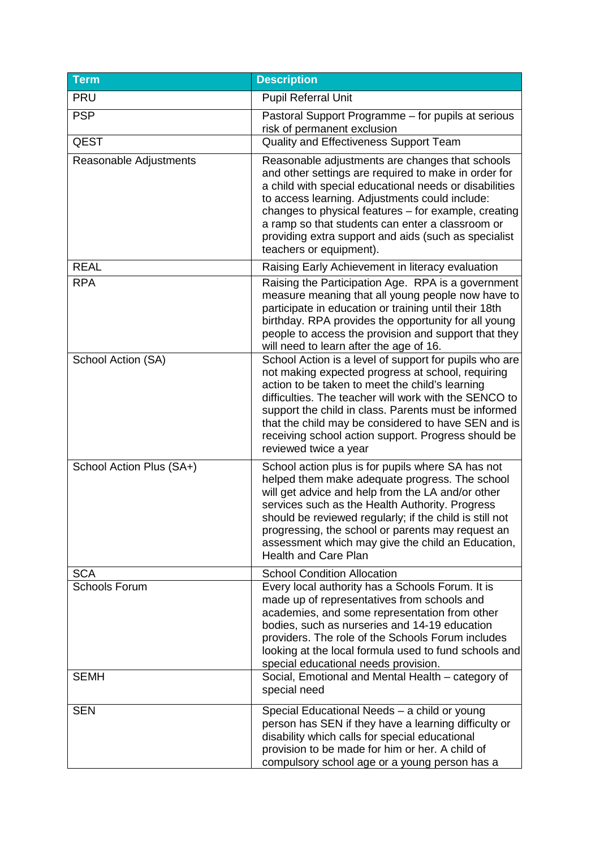<span id="page-14-2"></span><span id="page-14-1"></span><span id="page-14-0"></span>

| <b>Term</b>                         | <b>Description</b>                                                                                                                                                                                                                                                                                                                                                                                                     |
|-------------------------------------|------------------------------------------------------------------------------------------------------------------------------------------------------------------------------------------------------------------------------------------------------------------------------------------------------------------------------------------------------------------------------------------------------------------------|
| <b>PRU</b>                          | <b>Pupil Referral Unit</b>                                                                                                                                                                                                                                                                                                                                                                                             |
| <b>PSP</b>                          | Pastoral Support Programme - for pupils at serious<br>risk of permanent exclusion                                                                                                                                                                                                                                                                                                                                      |
| <b>QEST</b>                         | Quality and Effectiveness Support Team                                                                                                                                                                                                                                                                                                                                                                                 |
| Reasonable Adjustments              | Reasonable adjustments are changes that schools<br>and other settings are required to make in order for<br>a child with special educational needs or disabilities<br>to access learning. Adjustments could include:<br>changes to physical features - for example, creating<br>a ramp so that students can enter a classroom or<br>providing extra support and aids (such as specialist<br>teachers or equipment).     |
| <b>REAL</b>                         | Raising Early Achievement in literacy evaluation                                                                                                                                                                                                                                                                                                                                                                       |
| <b>RPA</b>                          | Raising the Participation Age. RPA is a government<br>measure meaning that all young people now have to<br>participate in education or training until their 18th<br>birthday. RPA provides the opportunity for all young<br>people to access the provision and support that they<br>will need to learn after the age of 16.                                                                                            |
| School Action (SA)                  | School Action is a level of support for pupils who are<br>not making expected progress at school, requiring<br>action to be taken to meet the child's learning<br>difficulties. The teacher will work with the SENCO to<br>support the child in class. Parents must be informed<br>that the child may be considered to have SEN and is<br>receiving school action support. Progress should be<br>reviewed twice a year |
| School Action Plus (SA+)            | School action plus is for pupils where SA has not<br>helped them make adequate progress. The school<br>will get advice and help from the LA and/or other<br>services such as the Health Authority. Progress<br>should be reviewed regularly; if the child is still not<br>progressing, the school or parents may request an<br>assessment which may give the child an Education,<br><b>Health and Care Plan</b>        |
| <b>SCA</b>                          | <b>School Condition Allocation</b>                                                                                                                                                                                                                                                                                                                                                                                     |
| <b>Schools Forum</b><br><b>SEMH</b> | Every local authority has a Schools Forum. It is<br>made up of representatives from schools and<br>academies, and some representation from other<br>bodies, such as nurseries and 14-19 education<br>providers. The role of the Schools Forum includes<br>looking at the local formula used to fund schools and<br>special educational needs provision.<br>Social, Emotional and Mental Health - category of           |
|                                     | special need                                                                                                                                                                                                                                                                                                                                                                                                           |
| <b>SEN</b>                          | Special Educational Needs - a child or young<br>person has SEN if they have a learning difficulty or<br>disability which calls for special educational<br>provision to be made for him or her. A child of<br>compulsory school age or a young person has a                                                                                                                                                             |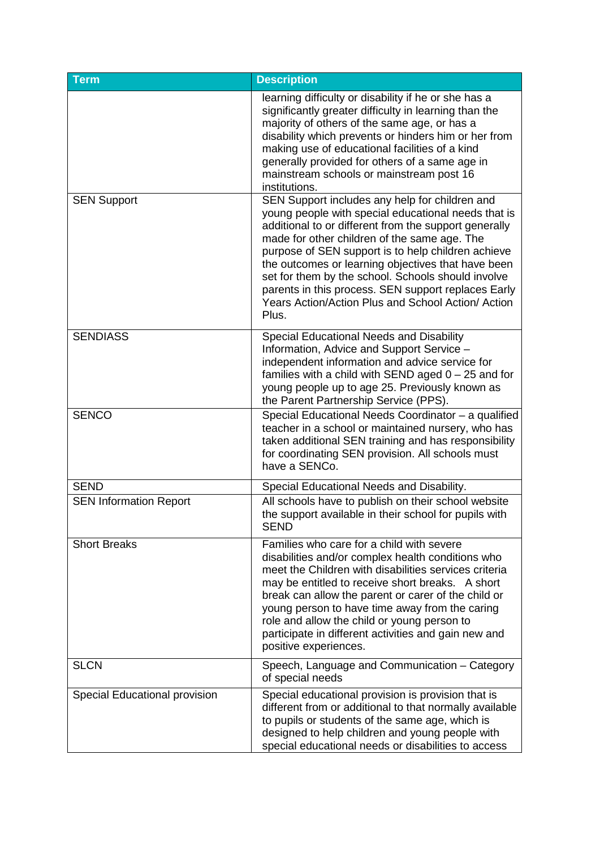<span id="page-15-6"></span><span id="page-15-5"></span><span id="page-15-4"></span><span id="page-15-3"></span><span id="page-15-2"></span><span id="page-15-1"></span><span id="page-15-0"></span>

| <b>Term</b>                   | <b>Description</b>                                                                                                                                                                                                                                                                                                                                                                                                                                   |
|-------------------------------|------------------------------------------------------------------------------------------------------------------------------------------------------------------------------------------------------------------------------------------------------------------------------------------------------------------------------------------------------------------------------------------------------------------------------------------------------|
| <b>SEN Support</b>            | learning difficulty or disability if he or she has a<br>significantly greater difficulty in learning than the<br>majority of others of the same age, or has a<br>disability which prevents or hinders him or her from<br>making use of educational facilities of a kind<br>generally provided for others of a same age in<br>mainstream schools or mainstream post 16<br>institutions.<br>SEN Support includes any help for children and             |
|                               | young people with special educational needs that is<br>additional to or different from the support generally<br>made for other children of the same age. The<br>purpose of SEN support is to help children achieve<br>the outcomes or learning objectives that have been<br>set for them by the school. Schools should involve<br>parents in this process. SEN support replaces Early<br>Years Action/Action Plus and School Action/ Action<br>Plus. |
| <b>SENDIASS</b>               | Special Educational Needs and Disability<br>Information, Advice and Support Service -<br>independent information and advice service for<br>families with a child with SEND aged $0 - 25$ and for<br>young people up to age 25. Previously known as<br>the Parent Partnership Service (PPS).                                                                                                                                                          |
| <b>SENCO</b>                  | Special Educational Needs Coordinator - a qualified<br>teacher in a school or maintained nursery, who has<br>taken additional SEN training and has responsibility<br>for coordinating SEN provision. All schools must<br>have a SENCo.                                                                                                                                                                                                               |
| <b>SEND</b>                   | Special Educational Needs and Disability.                                                                                                                                                                                                                                                                                                                                                                                                            |
| <b>SEN Information Report</b> | All schools have to publish on their school website<br>the support available in their school for pupils with<br>SEND                                                                                                                                                                                                                                                                                                                                 |
| <b>Short Breaks</b>           | Families who care for a child with severe<br>disabilities and/or complex health conditions who<br>meet the Children with disabilities services criteria<br>may be entitled to receive short breaks. A short<br>break can allow the parent or carer of the child or<br>young person to have time away from the caring<br>role and allow the child or young person to<br>participate in different activities and gain new and<br>positive experiences. |
| <b>SLCN</b>                   | Speech, Language and Communication - Category<br>of special needs                                                                                                                                                                                                                                                                                                                                                                                    |
| Special Educational provision | Special educational provision is provision that is<br>different from or additional to that normally available<br>to pupils or students of the same age, which is<br>designed to help children and young people with<br>special educational needs or disabilities to access                                                                                                                                                                           |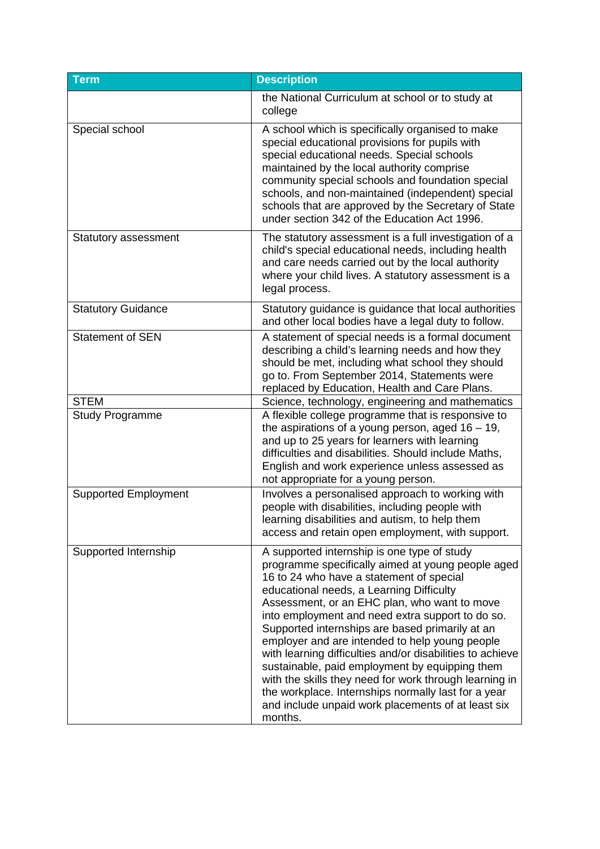<span id="page-16-7"></span><span id="page-16-6"></span><span id="page-16-5"></span><span id="page-16-4"></span><span id="page-16-3"></span><span id="page-16-2"></span><span id="page-16-1"></span><span id="page-16-0"></span>

| <b>Term</b>                 | <b>Description</b>                                                                                                                                                                                                                                                                                                                                                                                                                                                                                                                                                                                                                                                                                 |
|-----------------------------|----------------------------------------------------------------------------------------------------------------------------------------------------------------------------------------------------------------------------------------------------------------------------------------------------------------------------------------------------------------------------------------------------------------------------------------------------------------------------------------------------------------------------------------------------------------------------------------------------------------------------------------------------------------------------------------------------|
|                             | the National Curriculum at school or to study at<br>college                                                                                                                                                                                                                                                                                                                                                                                                                                                                                                                                                                                                                                        |
| Special school              | A school which is specifically organised to make<br>special educational provisions for pupils with<br>special educational needs. Special schools<br>maintained by the local authority comprise<br>community special schools and foundation special<br>schools, and non-maintained (independent) special<br>schools that are approved by the Secretary of State<br>under section 342 of the Education Act 1996.                                                                                                                                                                                                                                                                                     |
| Statutory assessment        | The statutory assessment is a full investigation of a<br>child's special educational needs, including health<br>and care needs carried out by the local authority<br>where your child lives. A statutory assessment is a<br>legal process.                                                                                                                                                                                                                                                                                                                                                                                                                                                         |
| <b>Statutory Guidance</b>   | Statutory guidance is guidance that local authorities<br>and other local bodies have a legal duty to follow.                                                                                                                                                                                                                                                                                                                                                                                                                                                                                                                                                                                       |
| <b>Statement of SEN</b>     | A statement of special needs is a formal document<br>describing a child's learning needs and how they<br>should be met, including what school they should<br>go to. From September 2014, Statements were<br>replaced by Education, Health and Care Plans.                                                                                                                                                                                                                                                                                                                                                                                                                                          |
| <b>STEM</b>                 | Science, technology, engineering and mathematics                                                                                                                                                                                                                                                                                                                                                                                                                                                                                                                                                                                                                                                   |
| <b>Study Programme</b>      | A flexible college programme that is responsive to<br>the aspirations of a young person, aged $16 - 19$ ,<br>and up to 25 years for learners with learning<br>difficulties and disabilities. Should include Maths,<br>English and work experience unless assessed as<br>not appropriate for a young person.                                                                                                                                                                                                                                                                                                                                                                                        |
| <b>Supported Employment</b> | Involves a personalised approach to working with<br>people with disabilities, including people with<br>learning disabilities and autism, to help them<br>access and retain open employment, with support.                                                                                                                                                                                                                                                                                                                                                                                                                                                                                          |
| Supported Internship        | A supported internship is one type of study<br>programme specifically aimed at young people aged<br>16 to 24 who have a statement of special<br>educational needs, a Learning Difficulty<br>Assessment, or an EHC plan, who want to move<br>into employment and need extra support to do so.<br>Supported internships are based primarily at an<br>employer and are intended to help young people<br>with learning difficulties and/or disabilities to achieve<br>sustainable, paid employment by equipping them<br>with the skills they need for work through learning in<br>the workplace. Internships normally last for a year<br>and include unpaid work placements of at least six<br>months. |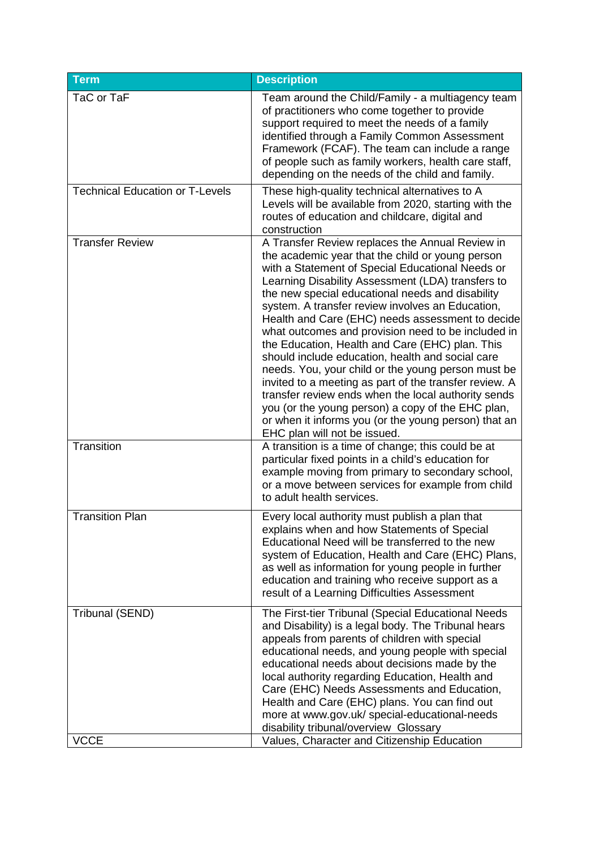<span id="page-17-5"></span><span id="page-17-4"></span><span id="page-17-3"></span><span id="page-17-2"></span><span id="page-17-1"></span><span id="page-17-0"></span>

| <b>Term</b>                            | <b>Description</b>                                                                                                                                                                                                                                                                                                                                                                                                                                                                                                                                                                                                                                                                                                                                                                                                                                        |
|----------------------------------------|-----------------------------------------------------------------------------------------------------------------------------------------------------------------------------------------------------------------------------------------------------------------------------------------------------------------------------------------------------------------------------------------------------------------------------------------------------------------------------------------------------------------------------------------------------------------------------------------------------------------------------------------------------------------------------------------------------------------------------------------------------------------------------------------------------------------------------------------------------------|
| TaC or TaF                             | Team around the Child/Family - a multiagency team<br>of practitioners who come together to provide<br>support required to meet the needs of a family<br>identified through a Family Common Assessment<br>Framework (FCAF). The team can include a range<br>of people such as family workers, health care staff,<br>depending on the needs of the child and family.                                                                                                                                                                                                                                                                                                                                                                                                                                                                                        |
| <b>Technical Education or T-Levels</b> | These high-quality technical alternatives to A<br>Levels will be available from 2020, starting with the<br>routes of education and childcare, digital and<br>construction                                                                                                                                                                                                                                                                                                                                                                                                                                                                                                                                                                                                                                                                                 |
| <b>Transfer Review</b>                 | A Transfer Review replaces the Annual Review in<br>the academic year that the child or young person<br>with a Statement of Special Educational Needs or<br>Learning Disability Assessment (LDA) transfers to<br>the new special educational needs and disability<br>system. A transfer review involves an Education,<br>Health and Care (EHC) needs assessment to decide<br>what outcomes and provision need to be included in<br>the Education, Health and Care (EHC) plan. This<br>should include education, health and social care<br>needs. You, your child or the young person must be<br>invited to a meeting as part of the transfer review. A<br>transfer review ends when the local authority sends<br>you (or the young person) a copy of the EHC plan,<br>or when it informs you (or the young person) that an<br>EHC plan will not be issued. |
| Transition                             | A transition is a time of change; this could be at<br>particular fixed points in a child's education for<br>example moving from primary to secondary school,<br>or a move between services for example from child<br>to adult health services.                                                                                                                                                                                                                                                                                                                                                                                                                                                                                                                                                                                                            |
| <b>Transition Plan</b>                 | Every local authority must publish a plan that<br>explains when and how Statements of Special<br>Educational Need will be transferred to the new<br>system of Education, Health and Care (EHC) Plans,<br>as well as information for young people in further<br>education and training who receive support as a<br>result of a Learning Difficulties Assessment                                                                                                                                                                                                                                                                                                                                                                                                                                                                                            |
| Tribunal (SEND)<br><b>VCCE</b>         | The First-tier Tribunal (Special Educational Needs<br>and Disability) is a legal body. The Tribunal hears<br>appeals from parents of children with special<br>educational needs, and young people with special<br>educational needs about decisions made by the<br>local authority regarding Education, Health and<br>Care (EHC) Needs Assessments and Education,<br>Health and Care (EHC) plans. You can find out<br>more at www.gov.uk/ special-educational-needs<br>disability tribunal/overview Glossary<br>Values, Character and Citizenship Education                                                                                                                                                                                                                                                                                               |